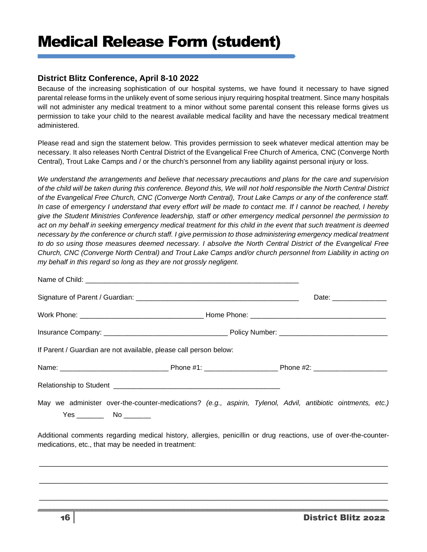## **District Blitz Conference, April 8-10 2022**

Because of the increasing sophistication of our hospital systems, we have found it necessary to have signed parental release forms in the unlikely event of some serious injury requiring hospital treatment. Since many hospitals will not administer any medical treatment to a minor without some parental consent this release forms gives us permission to take your child to the nearest available medical facility and have the necessary medical treatment administered.

Please read and sign the statement below. This provides permission to seek whatever medical attention may be necessary. It also releases North Central District of the Evangelical Free Church of America, CNC (Converge North Central), Trout Lake Camps and / or the church's personnel from any liability against personal injury or loss.

*We understand the arrangements and believe that necessary precautions and plans for the care and supervision of the child will be taken during this conference. Beyond this, We will not hold responsible the North Central District of the Evangelical Free Church, CNC (Converge North Central), Trout Lake Camps or any of the conference staff. In case of emergency I understand that every effort will be made to contact me. If I cannot be reached, I hereby give the Student Ministries Conference leadership, staff or other emergency medical personnel the permission to*  act on my behalf in seeking emergency medical treatment for this child in the event that such treatment is deemed *necessary by the conference or church staff. I give permission to those administering emergency medical treatment to do so using those measures deemed necessary. I absolve the North Central District of the Evangelical Free Church, CNC (Converge North Central) and Trout Lake Camps and/or church personnel from Liability in acting on my behalf in this regard so long as they are not grossly negligent.* 

|                                                                                                                                                                         | Date: ________________ |
|-------------------------------------------------------------------------------------------------------------------------------------------------------------------------|------------------------|
|                                                                                                                                                                         |                        |
|                                                                                                                                                                         |                        |
| If Parent / Guardian are not available, please call person below:                                                                                                       |                        |
|                                                                                                                                                                         |                        |
|                                                                                                                                                                         |                        |
| May we administer over-the-counter-medications? (e.g., aspirin, Tylenol, Advil, antibiotic ointments, etc.)<br>$Yes$ No $No$                                            |                        |
| Additional comments regarding medical history, allergies, penicillin or drug reactions, use of over-the-counter-<br>medications, etc., that may be needed in treatment: |                        |
|                                                                                                                                                                         |                        |

\_\_\_\_\_\_\_\_\_\_\_\_\_\_\_\_\_\_\_\_\_\_\_\_\_\_\_\_\_\_\_\_\_\_\_\_\_\_\_\_\_\_\_\_\_\_\_\_\_\_\_\_\_\_\_\_\_\_\_\_\_\_\_\_\_\_\_\_\_\_\_\_\_\_\_\_\_\_\_\_

\_\_\_\_\_\_\_\_\_\_\_\_\_\_\_\_\_\_\_\_\_\_\_\_\_\_\_\_\_\_\_\_\_\_\_\_\_\_\_\_\_\_\_\_\_\_\_\_\_\_\_\_\_\_\_\_\_\_\_\_\_\_\_\_\_\_\_\_\_\_\_\_\_\_\_\_\_\_\_\_  $\_$  ,  $\_$  ,  $\_$  ,  $\_$  ,  $\_$  ,  $\_$  ,  $\_$  ,  $\_$  ,  $\_$  ,  $\_$  ,  $\_$  ,  $\_$  ,  $\_$  ,  $\_$  ,  $\_$  ,  $\_$  ,  $\_$  ,  $\_$  ,  $\_$  ,  $\_$  ,  $\_$  ,  $\_$  ,  $\_$  ,  $\_$  ,  $\_$  ,  $\_$  ,  $\_$  ,  $\_$  ,  $\_$  ,  $\_$  ,  $\_$  ,  $\_$  ,  $\_$  ,  $\_$  ,  $\_$  ,  $\_$  ,  $\_$  ,